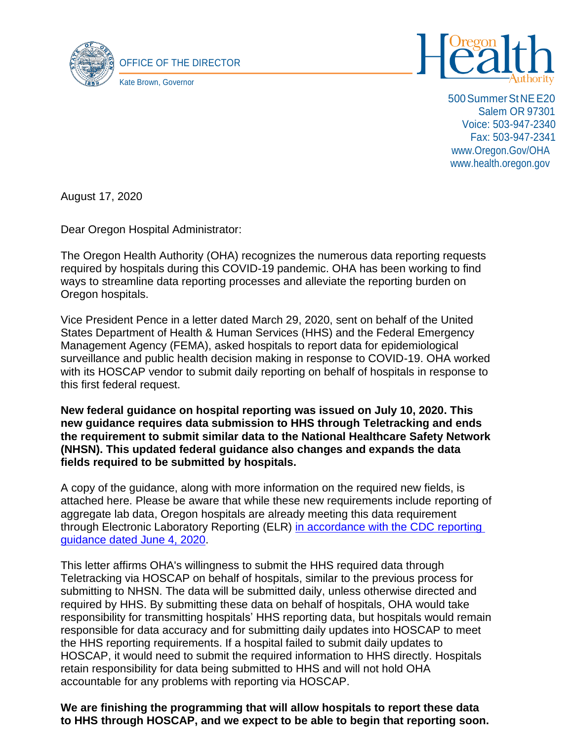



500SummerStNEE20 Salem OR 97301 Voice: 503-947-2340 Fax: 503-947-2341 [www.Oregon.Gov/OHA](http://www.oregon.gov/OHA) [www.health.oregon.gov](http://www.health.oregon.gov/)

August 17, 2020

Dear Oregon Hospital Administrator:

The Oregon Health Authority (OHA) recognizes the numerous data reporting requests required by hospitals during this COVID-19 pandemic. OHA has been working to find ways to streamline data reporting processes and alleviate the reporting burden on Oregon hospitals.

Vice President Pence in a letter dated March 29, 2020, sent on behalf of the United States Department of Health & Human Services (HHS) and the Federal Emergency Management Agency (FEMA), asked hospitals to report data for epidemiological surveillance and public health decision making in response to COVID-19. OHA worked with its HOSCAP vendor to submit daily reporting on behalf of hospitals in response to this first federal request.

**New federal guidance on hospital reporting was issued on July 10, 2020. This new guidance requires data submission to HHS through Teletracking and ends the requirement to submit similar data to the National Healthcare Safety Network (NHSN). This updated federal guidance also changes and expands the data fields required to be submitted by hospitals.**

A copy of the guidance, along with more information on the required new fields, is attached here. Please be aware that while these new requirements include reporting of aggregate lab data, Oregon hospitals are already meeting this data requirement through Electronic Laboratory Reporting (ELR) [in accordance with the CDC](https://www.hhs.gov/sites/default/files/covid-19-laboratory-data-reporting-guidance.pdf) reporting [guidance dated](https://www.hhs.gov/sites/default/files/covid-19-laboratory-data-reporting-guidance.pdf) June 4, 2020.

This letter affirms OHA's willingness to submit the HHS required data through Teletracking via HOSCAP on behalf of hospitals, similar to the previous process for submitting to NHSN. The data will be submitted daily, unless otherwise directed and required by HHS. By submitting these data on behalf of hospitals, OHA would take responsibility for transmitting hospitals' HHS reporting data, but hospitals would remain responsible for data accuracy and for submitting daily updates into HOSCAP to meet the HHS reporting requirements. If a hospital failed to submit daily updates to HOSCAP, it would need to submit the required information to HHS directly. Hospitals retain responsibility for data being submitted to HHS and will not hold OHA accountable for any problems with reporting via HOSCAP.

**We are finishing the programming that will allow hospitals to report these data to HHS through HOSCAP, and we expect to be able to begin that reporting soon.**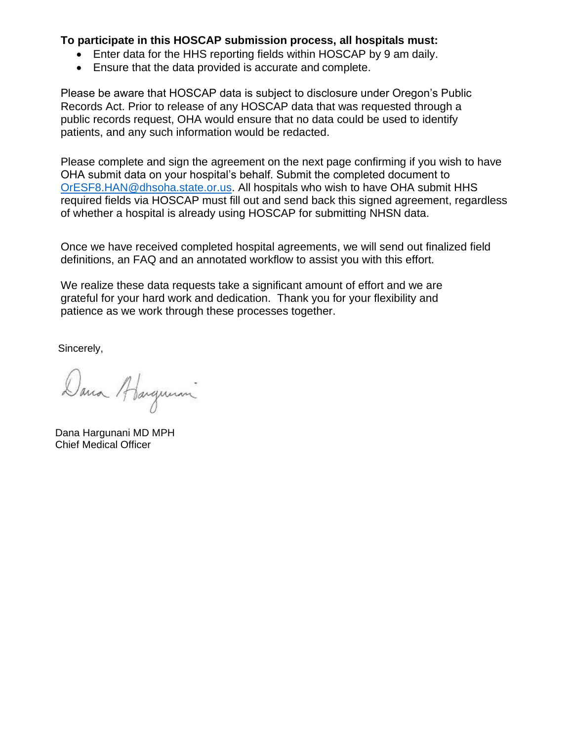## **To participate in this HOSCAP submission process, all hospitals must:**

- Enter data for the HHS reporting fields within HOSCAP by 9 am daily.
- Ensure that the data provided is accurate and complete.

Please be aware that HOSCAP data is subject to disclosure under Oregon's Public Records Act. Prior to release of any HOSCAP data that was requested through a public records request, OHA would ensure that no data could be used to identify patients, and any such information would be redacted.

Please complete and sign the agreement on the next page confirming if you wish to have OHA submit data on your hospital's behalf. Submit the completed document to [OrESF8.HAN@dhsoha.state.or.us.](mailto:%20OrESF8.HAN@dhsoha.state.or.us) All hospitals who wish to have OHA submit HHS required fields via HOSCAP must fill out and send back this signed agreement, regardless of whether a hospital is already using HOSCAP for submitting NHSN data.

Once we have received completed hospital agreements, we will send out finalized field definitions, an FAQ and an annotated workflow to assist you with this effort.

We realize these data requests take a significant amount of effort and we are grateful for your hard work and dedication. Thank you for your flexibility and patience as we work through these processes together.

Sincerely,

Dana Abangunani

Dana Hargunani MD MPH Chief Medical Officer